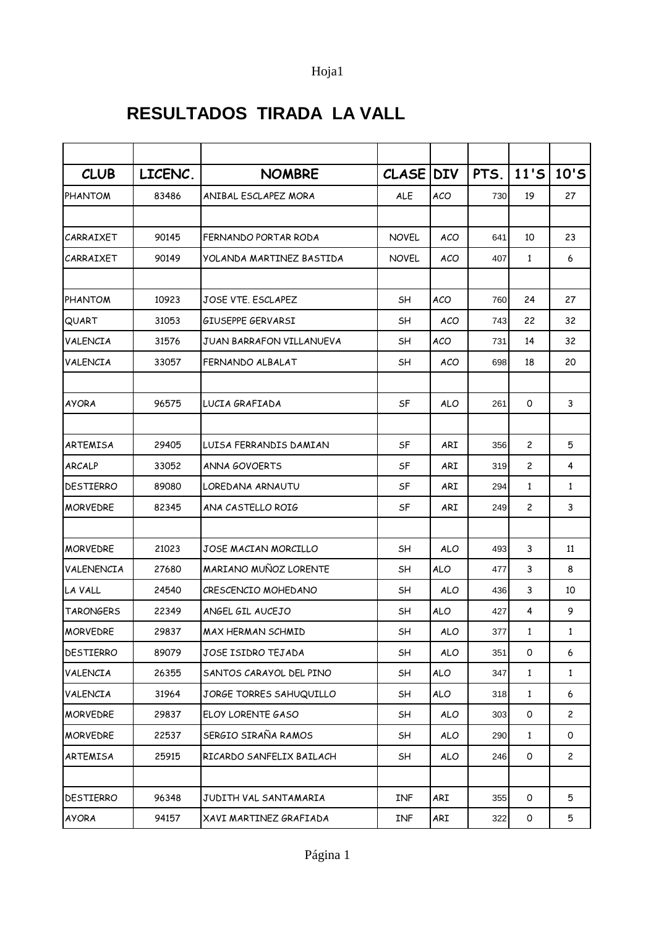## Hoja1

## **RESULTADOS TIRADA LA VALL**

| <b>CLUB</b>      | LICENC. | <b>NOMBRE</b>            | CLASE DIV    |            | PTS. | $11'$ S        | 10'S         |
|------------------|---------|--------------------------|--------------|------------|------|----------------|--------------|
| <b>PHANTOM</b>   | 83486   | ANIBAL ESCLAPEZ MORA     | <b>ALE</b>   | <b>ACO</b> | 730  | 19             | 27           |
|                  |         |                          |              |            |      |                |              |
| CARRAIXET        | 90145   | FERNANDO PORTAR RODA     | <b>NOVEL</b> | <b>ACO</b> | 641  | 10             | 23           |
| CARRAIXET        | 90149   | YOLANDA MARTINEZ BASTIDA | <b>NOVEL</b> | <b>ACO</b> | 407  | $\mathbf{1}$   | 6            |
|                  |         |                          |              |            |      |                |              |
| <b>PHANTOM</b>   | 10923   | JOSE VTE. ESCLAPEZ       | SH           | <b>ACO</b> | 760  | 24             | 27           |
| QUART            | 31053   | GIUSEPPE GERVARSI        | SН           | <b>ACO</b> | 743  | 22             | 32           |
| VALENCIA         | 31576   | JUAN BARRAFON VILLANUEVA | SH           | ACO        | 731  | 14             | 32           |
| VALENCIA         | 33057   | FERNANDO ALBALAT         | SН           | <b>ACO</b> | 698  | 18             | 20           |
|                  |         |                          |              |            |      |                |              |
| <b>AYORA</b>     | 96575   | LUCIA GRAFIADA           | SF           | <b>ALO</b> | 261  | $\mathsf{O}$   | 3            |
|                  |         |                          |              |            |      |                |              |
| ARTEMISA         | 29405   | LUISA FERRANDIS DAMIAN   | SF           | <b>ARI</b> | 356  | $\overline{c}$ | 5            |
| ARCALP           | 33052   | ANNA GOVOERTS            | SF           | ARI        | 319  | $\mathbf{2}$   | 4            |
| <b>DESTIERRO</b> | 89080   | LOREDANA ARNAUTU         | SF           | <b>ARI</b> | 294  | $\mathbf{1}$   | $\mathbf{1}$ |
| <b>MORVEDRE</b>  | 82345   | ANA CASTELLO ROIG        | SF           | <b>ARI</b> | 249  | $\overline{c}$ | 3            |
|                  |         |                          |              |            |      |                |              |
| <b>MORVEDRE</b>  | 21023   | JOSE MACIAN MORCILLO     | SH           | <b>ALO</b> | 493  | 3              | 11           |
| VALENENCIA       | 27680   | MARIANO MUÑOZ LORENTE    | SH           | <b>ALO</b> | 477  | 3              | 8            |
| LA VALL          | 24540   | CRESCENCIO MOHEDANO      | SН           | <b>ALO</b> | 436  | 3              | 10           |
| <b>TARONGERS</b> | 22349   | ANGEL GIL AUCEJO         | SН           | <b>ALO</b> | 427  | 4              | 9            |
| <b>MORVEDRE</b>  | 29837   | MAX HERMAN SCHMID        | SН           | <b>ALO</b> | 377  | 1              | 1            |
| DESTIERRO        | 89079   | JOSE ISIDRO TEJADA       | SH           | <b>ALO</b> | 351  | 0              | 6            |
| VALENCIA         | 26355   | SANTOS CARAYOL DEL PINO  | SH           | <b>ALO</b> | 347  | $\mathbf{1}$   | $\mathbf{1}$ |
| VALENCIA         | 31964   | JORGE TORRES SAHUQUILLO  | SH           | <b>ALO</b> | 318  | $\mathbf{1}$   | 6            |
| <b>MORVEDRE</b>  | 29837   | ELOY LORENTE GASO        | SH           | <b>ALO</b> | 303  | 0              | $\mathbf{2}$ |
| <b>MORVEDRE</b>  | 22537   | SERGIO SIRAÑA RAMOS      | SH           | <b>ALO</b> | 290  | $\mathbf{1}$   | 0            |
| ARTEMISA         | 25915   | RICARDO SANFELIX BAILACH | SH           | <b>ALO</b> | 246  | 0              | $\mathbf{2}$ |
|                  |         |                          |              |            |      |                |              |
| <b>DESTIERRO</b> | 96348   | JUDITH VAL SANTAMARIA    | <b>INF</b>   | ARI        | 355  | 0              | 5            |
| <b>AYORA</b>     | 94157   | XAVI MARTINEZ GRAFIADA   | <b>INF</b>   | ARI        | 322  | 0              | 5            |